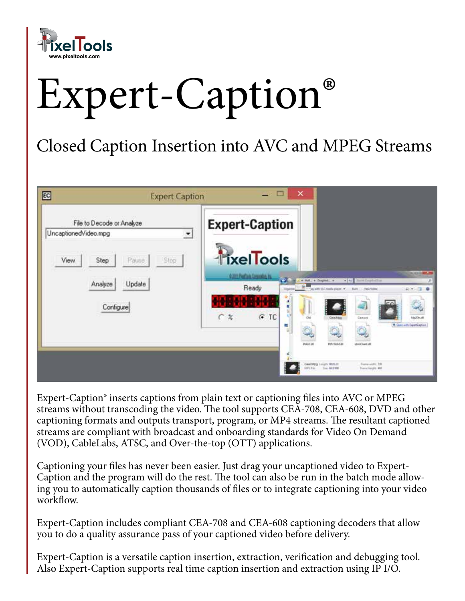

# Expert-Caption®

## Closed Caption Insertion into AVC and MPEG Streams

| EC<br><b>Expert Caption</b>                                     | □<br>×                                                                                                                   |                                                                                                                                                                                                                                            |
|-----------------------------------------------------------------|--------------------------------------------------------------------------------------------------------------------------|--------------------------------------------------------------------------------------------------------------------------------------------------------------------------------------------------------------------------------------------|
| File to Decode or Analyze<br>UncaptionedVideo.mpg<br>그          | <b>Expert-Caption</b>                                                                                                    |                                                                                                                                                                                                                                            |
| View<br>Pause<br>Stop<br>Step<br>Update<br>Analyze<br>Configure | TixelTools<br>02017/effair/layoutes in<br>$\mathcal{L}$<br>Ready<br><b>Diges</b><br>$G$ TC<br>CZ<br>۰<br><b>Publicat</b> | <b>SCIENTING</b><br>. [4] Save Deptedbar<br>4 Hdl. + Dayled. +<br><b>E</b> The agent the reside player of<br>$40 + 12 = 0$<br><b>Bart   Rev Med</b><br>CalaMag<br>Carton<br>MaZDNARI<br>A Contact Executive<br>Pelvinskas<br>strill last # |
|                                                                 |                                                                                                                          | CertMpg (segm 49th 3)<br>Formá soldito, 228<br><b>MCTH</b> SHARE<br><b>Traile height MS</b>                                                                                                                                                |

Expert-Caption® inserts captions from plain text or captioning files into AVC or MPEG streams without transcoding the video. The tool supports CEA-708, CEA-608, DVD and other captioning formats and outputs transport, program, or MP4 streams. The resultant captioned streams are compliant with broadcast and onboarding standards for Video On Demand (VOD), CableLabs, ATSC, and Over-the-top (OTT) applications.

Captioning your files has never been easier. Just drag your uncaptioned video to Expert-Caption and the program will do the rest. The tool can also be run in the batch mode allowing you to automatically caption thousands of files or to integrate captioning into your video workflow.

Expert-Caption includes compliant CEA-708 and CEA-608 captioning decoders that allow you to do a quality assurance pass of your captioned video before delivery.

Expert-Caption is a versatile caption insertion, extraction, verification and debugging tool. Also Expert-Caption supports real time caption insertion and extraction using IP I/O.